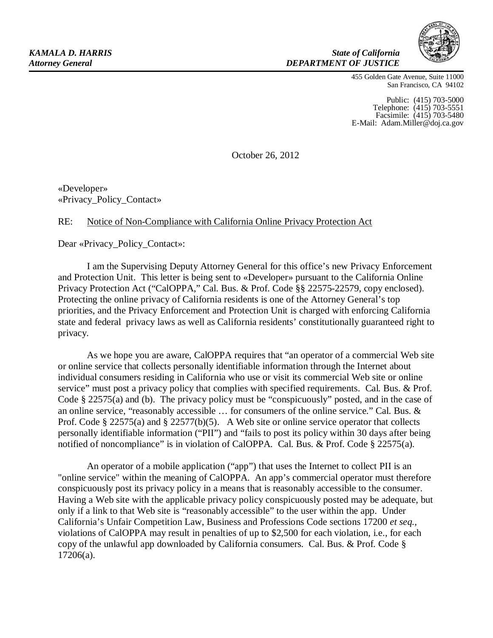*State of California DEPARTMENT OF JUSTICE*



455 Golden Gate Avenue, Suite 11000 San Francisco, CA 94102

Public: (415) 703-5000 Telephone: (415) 703-5551 Facsimile: (415) 703-5480 E-Mail: [Adam.Miller@doj.ca.gov](mailto:Adam.Miller@doj.ca.gov)

October 26, 2012

«Developer» «Privacy\_Policy\_Contact»

## RE: Notice of Non-Compliance with California Online Privacy Protection Act

Dear «Privacy\_Policy\_Contact»:

I am the Supervising Deputy Attorney General for this office's new Privacy Enforcement and Protection Unit. This letter is being sent to «Developer» pursuant to the California Online Privacy Protection Act ("CalOPPA," Cal. Bus. & Prof. Code §§ 22575-22579, copy enclosed). Protecting the online privacy of California residents is one of the Attorney General's top priorities, and the Privacy Enforcement and Protection Unit is charged with enforcing California state and federal privacy laws as well as California residents' constitutionally guaranteed right to privacy.

As we hope you are aware, CalOPPA requires that "an operator of a commercial Web site or online service that collects personally identifiable information through the Internet about individual consumers residing in California who use or visit its commercial Web site or online service" must post a privacy policy that complies with specified requirements. Cal. Bus. & Prof. Code § 22575(a) and (b). The privacy policy must be "conspicuously" posted, and in the case of an online service, "reasonably accessible … for consumers of the online service." Cal. Bus. & Prof. Code § 22575(a) and § 22577(b)(5). A Web site or online service operator that collects personally identifiable information ("PII") and "fails to post its policy within 30 days after being notified of noncompliance" is in violation of CalOPPA. Cal. Bus. & Prof. Code § 22575(a).

An operator of a mobile application ("app") that uses the Internet to collect PII is an "online service" within the meaning of CalOPPA. An app's commercial operator must therefore conspicuously post its privacy policy in a means that is reasonably accessible to the consumer. Having a Web site with the applicable privacy policy conspicuously posted may be adequate, but only if a link to that Web site is "reasonably accessible" to the user within the app. Under California's Unfair Competition Law, Business and Professions Code sections 17200 *et seq.,*  violations of CalOPPA may result in penalties of up to \$2,500 for each violation, i.e., for each copy of the unlawful app downloaded by California consumers. Cal. Bus. & Prof. Code § 17206(a).